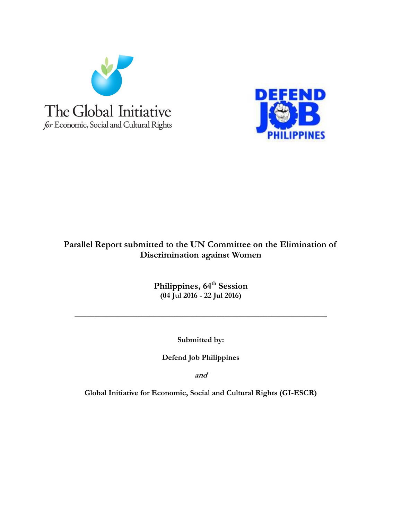



# **Parallel Report submitted to the UN Committee on the Elimination of Discrimination against Women**

**Philippines, 64th Session (04 Jul 2016 - 22 Jul 2016)**

**\_\_\_\_\_\_\_\_\_\_\_\_\_\_\_\_\_\_\_\_\_\_\_\_\_\_\_\_\_\_\_\_\_\_\_\_\_\_\_\_\_\_\_\_\_\_\_\_\_\_\_\_\_\_\_\_\_\_\_\_\_\_\_\_**

**Submitted by:**

**Defend Job Philippines**

**and**

**Global Initiative for Economic, Social and Cultural Rights (GI-ESCR)**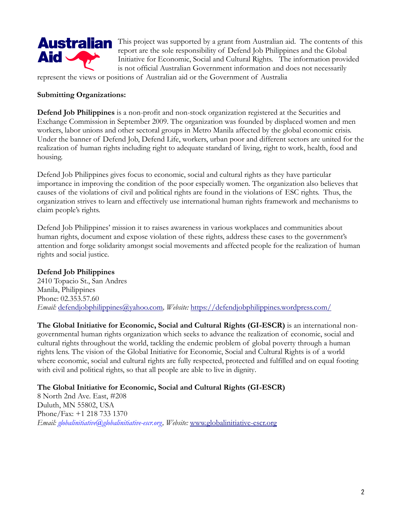

This project was supported by a grant from Australian aid. The contents of this report are the sole responsibility of Defend Job Philippines and the Global Initiative for Economic, Social and Cultural Rights. The information provided is not official Australian Government information and does not necessarily

represent the views or positions of Australian aid or the Government of Australia

#### **Submitting Organizations:**

**Defend Job Philippines** is a non-profit and non-stock organization registered at the Securities and Exchange Commission in September 2009. The organization was founded by displaced women and men workers, labor unions and other sectoral groups in Metro Manila affected by the global economic crisis. Under the banner of Defend Job, Defend Life, workers, urban poor and different sectors are united for the realization of human rights including right to adequate standard of living, right to work, health, food and housing.

Defend Job Philippines gives focus to economic, social and cultural rights as they have particular importance in improving the condition of the poor especially women. The organization also believes that causes of the violations of civil and political rights are found in the violations of ESC rights. Thus, the organization strives to learn and effectively use international human rights framework and mechanisms to claim people's rights.

Defend Job Philippines' mission it to raises awareness in various workplaces and communities about human rights, document and expose violation of these rights, address these cases to the government's attention and forge solidarity amongst social movements and affected people for the realization of human rights and social justice.

#### **Defend Job Philippines**

2410 Topacio St., San Andres Manila, Philippines Phone: 02.353.57.60 *Email:* [defendjobphilippines@yahoo.com](mailto:defendjobphilippines@yahoo.com)*, Website:* <https://defendjobphilippines.wordpress.com/>

**The Global Initiative for Economic, Social and Cultural Rights (GI-ESCR)** is an international nongovernmental human rights organization which seeks to advance the realization of economic, social and cultural rights throughout the world, tackling the endemic problem of global poverty through a human rights lens. The vision of the Global Initiative for Economic, Social and Cultural Rights is of a world where economic, social and cultural rights are fully respected, protected and fulfilled and on equal footing with civil and political rights, so that all people are able to live in dignity*.*

**The Global Initiative for Economic, Social and Cultural Rights (GI-ESCR)**

8 North 2nd Ave. East, #208 Duluth, MN 55802, USA Phone/Fax: +1 218 733 1370 *Email: globalinitiative@globalinitiative-escr.org, Website:* [www.globalinitiative-escr.org](http://www.globalinitiative-escr.org/)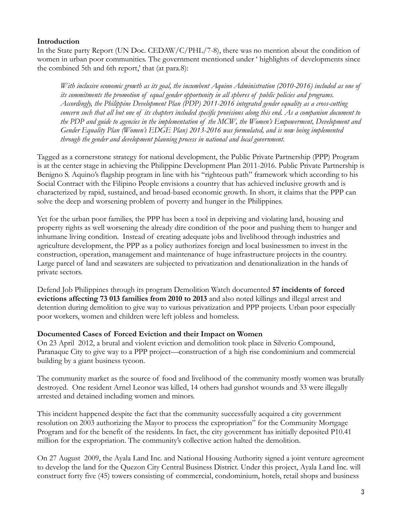## **Introduction**

In the State party Report (UN Doc. CEDAW/C/PHL/7-8), there was no mention about the condition of women in urban poor communities. The government mentioned under ' highlights of developments since the combined 5th and 6th report,' that (at para.8):

*With inclusive economic growth as its goal, the incumbent Aquino Administration (2010-2016) included as one of its commitments the promotion of equal gender opportunity in all spheres of public policies and programs. Accordingly, the Philippine Development Plan (PDP) 2011-2016 integrated gender equality as a cross-cutting concern such that all but one of its chapters included specific provisions along this end. As a companion document to the PDP and guide to agencies in the implementation of the MCW, the Women's Empowerment, Development and Gender Equality Plan (Women's EDGE Plan) 2013-2016 was formulated, and is now being implemented through the gender and development planning process in national and local government.*

Tagged as a cornerstone strategy for national development, the Public Private Partnership (PPP) Program is at the center stage in achieving the Philippine Development Plan 2011-2016. Public Private Partnership is Benigno S. Aquino's flagship program in line with his "righteous path" framework which according to his Social Contract with the Filipino People envisions a country that has achieved inclusive growth and is characterized by rapid, sustained, and broad-based economic growth. In short, it claims that the PPP can solve the deep and worsening problem of poverty and hunger in the Philippines.

Yet for the urban poor families, the PPP has been a tool in depriving and violating land, housing and property rights as well worsening the already dire condition of the poor and pushing them to hunger and inhumane living condition. Instead of creating adequate jobs and livelihood through industries and agriculture development, the PPP as a policy authorizes foreign and local businessmen to invest in the construction, operation, management and maintenance of huge infrastructure projects in the country. Large parcel of land and seawaters are subjected to privatization and denationalization in the hands of private sectors.

Defend Job Philippines through its program Demolition Watch documented **57 incidents of forced evictions affecting 73 013 families from 2010 to 2013** and also noted killings and illegal arrest and detention during demolition to give way to various privatization and PPP projects. Urban poor especially poor workers, women and children were left jobless and homeless.

#### **Documented Cases of Forced Eviction and their Impact on Women**

On 23 April 2012, a brutal and violent eviction and demolition took place in Silverio Compound, Paranaque City to give way to a PPP project—construction of a high rise condominium and commercial building by a giant business tycoon.

The community market as the source of food and livelihood of the community mostly women was brutally destroyed. One resident Arnel Leonor was killed, 14 others had gunshot wounds and 33 were illegally arrested and detained including women and minors.

This incident happened despite the fact that the community successfully acquired a city government resolution on 2003 authorizing the Mayor to process the expropriation" for the Community Mortgage Program and for the benefit of the residents. In fact, the city government has initially deposited P10.41 million for the expropriation. The community's collective action halted the demolition.

On 27 August 2009, the Ayala Land Inc. and National Housing Authority signed a joint venture agreement to develop the land for the Quezon City Central Business District. Under this project, Ayala Land Inc. will construct forty five (45) towers consisting of commercial, condominium, hotels, retail shops and business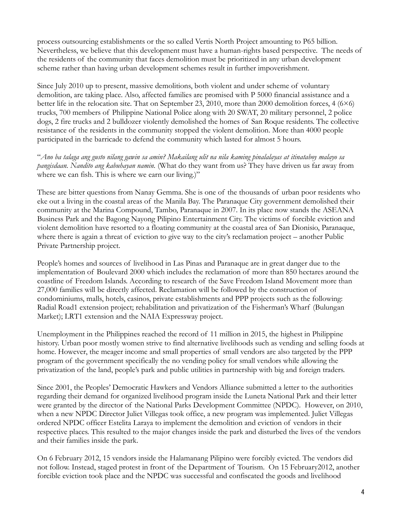process outsourcing establishments or the so called Vertis North Project amounting to P65 billion. Nevertheless, we believe that this development must have a human-rights based perspective. The needs of the residents of the community that faces demolition must be prioritized in any urban development scheme rather than having urban development schemes result in further impoverishment.

Since July 2010 up to present, massive demolitions, both violent and under scheme of voluntary demolition, are taking place. Also, affected families are promised with P 5000 financial assistance and a better life in the relocation site. That on September 23, 2010, more than 2000 demolition forces, 4 (6×6) trucks, 700 members of Philippine National Police along with 20 SWAT, 20 military personnel, 2 police dogs, 2 fire trucks and 2 bulldozer violently demolished the homes of San Roque residents. The collective resistance of the residents in the community stopped the violent demolition. More than 4000 people participated in the barricade to defend the community which lasted for almost 5 hours.

"*Ano ba talaga ang gusto nilang gawin sa amin? Makailang ulit na nila kaming pinalalayas at itinataboy malayo sa pangisdaan. Nandito ang kabuhayan namin.* (What do they want from us? They have driven us far away from where we can fish. This is where we earn our living.)"

These are bitter questions from Nanay Gemma. She is one of the thousands of urban poor residents who eke out a living in the coastal areas of the Manila Bay. The Paranaque City government demolished their community at the Marina Compound, Tambo, Paranaque in 2007. In its place now stands the ASEANA Business Park and the Bagong Nayong Pilipino Entertainment City. The victims of forcible eviction and violent demolition have resorted to a floating community at the coastal area of San Dionisio, Paranaque, where there is again a threat of eviction to give way to the city's reclamation project – another Public Private Partnership project.

People's homes and sources of livelihood in Las Pinas and Paranaque are in great danger due to the implementation of Boulevard 2000 which includes the reclamation of more than 850 hectares around the coastline of Freedom Islands. According to research of the Save Freedom Island Movement more than 27,000 families will be directly affected. Reclamation will be followed by the construction of condominiums, malls, hotels, casinos, private establishments and PPP projects such as the following: Radial Road1 extension project; rehabilitation and privatization of the Fisherman's Wharf (Bulungan Market); LRT1 extension and the NAIA Expressway project.

Unemployment in the Philippines reached the record of 11 million in 2015, the highest in Philippine history. Urban poor mostly women strive to find alternative livelihoods such as vending and selling foods at home. However, the meager income and small properties of small vendors are also targeted by the PPP program of the government specifically the no vending policy for small vendors while allowing the privatization of the land, people's park and public utilities in partnership with big and foreign traders.

Since 2001, the Peoples' Democratic Hawkers and Vendors Alliance submitted a letter to the authorities regarding their demand for organized livelihood program inside the Luneta National Park and their letter were granted by the director of the National Parks Development Committee (NPDC). However, on 2010, when a new NPDC Director Juliet Villegas took office, a new program was implemented. Juliet Villegas ordered NPDC officer Estelita Laraya to implement the demolition and eviction of vendors in their respective places. This resulted to the major changes inside the park and disturbed the lives of the vendors and their families inside the park.

On 6 February 2012, 15 vendors inside the Halamanang Pilipino were forcibly evicted. The vendors did not follow. Instead, staged protest in front of the Department of Tourism. On 15 February2012, another forcible eviction took place and the NPDC was successful and confiscated the goods and livelihood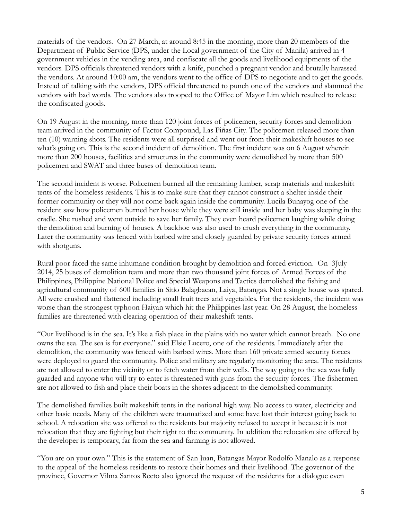materials of the vendors. On 27 March, at around 8:45 in the morning, more than 20 members of the Department of Public Service (DPS, under the Local government of the City of Manila) arrived in 4 government vehicles in the vending area, and confiscate all the goods and livelihood equipments of the vendors. DPS officials threatened vendors with a knife, punched a pregnant vendor and brutally harassed the vendors. At around 10:00 am, the vendors went to the office of DPS to negotiate and to get the goods. Instead of talking with the vendors, DPS official threatened to punch one of the vendors and slammed the vendors with bad words. The vendors also trooped to the Office of Mayor Lim which resulted to release the confiscated goods.

On 19 August in the morning, more than 120 joint forces of policemen, security forces and demolition team arrived in the community of Factor Compound, Las Piñas City. The policemen released more than ten (10) warning shots. The residents were all surprised and went out from their makeshift houses to see what's going on. This is the second incident of demolition. The first incident was on 6 August wherein more than 200 houses, facilities and structures in the community were demolished by more than 500 policemen and SWAT and three buses of demolition team.

The second incident is worse. Policemen burned all the remaining lumber, scrap materials and makeshift tents of the homeless residents. This is to make sure that they cannot construct a shelter inside their former community or they will not come back again inside the community. Lucila Bunayog one of the resident saw how policemen burned her house while they were still inside and her baby was sleeping in the cradle. She rushed and went outside to save her family. They even heard policemen laughing while doing the demolition and burning of houses. A backhoe was also used to crush everything in the community. Later the community was fenced with barbed wire and closely guarded by private security forces armed with shotguns.

Rural poor faced the same inhumane condition brought by demolition and forced eviction. On 3July 2014, 25 buses of demolition team and more than two thousand joint forces of Armed Forces of the Philippines, Philippine National Police and Special Weapons and Tactics demolished the fishing and agricultural community of 600 families in Sitio Balagbacan, Laiya, Batangas. Not a single house was spared. All were crushed and flattened including small fruit trees and vegetables. For the residents, the incident was worse than the strongest typhoon Haiyan which hit the Philippines last year. On 28 August, the homeless families are threatened with clearing operation of their makeshift tents.

"Our livelihood is in the sea. It's like a fish place in the plains with no water which cannot breath. No one owns the sea. The sea is for everyone." said Elsie Lucero, one of the residents. Immediately after the demolition, the community was fenced with barbed wires. More than 160 private armed security forces were deployed to guard the community. Police and military are regularly monitoring the area. The residents are not allowed to enter the vicinity or to fetch water from their wells. The way going to the sea was fully guarded and anyone who will try to enter is threatened with guns from the security forces. The fishermen are not allowed to fish and place their boats in the shores adjacent to the demolished community.

The demolished families built makeshift tents in the national high way. No access to water, electricity and other basic needs. Many of the children were traumatized and some have lost their interest going back to school. A relocation site was offered to the residents but majority refused to accept it because it is not relocation that they are fighting but their right to the community. In addition the relocation site offered by the developer is temporary, far from the sea and farming is not allowed.

"You are on your own." This is the statement of San Juan, Batangas Mayor Rodolfo Manalo as a response to the appeal of the homeless residents to restore their homes and their livelihood. The governor of the province, Governor Vilma Santos Recto also ignored the request of the residents for a dialogue even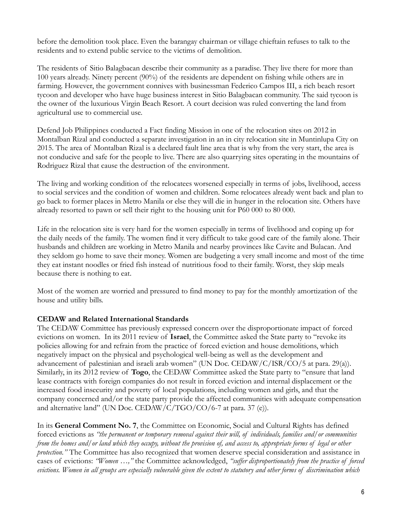before the demolition took place. Even the barangay chairman or village chieftain refuses to talk to the residents and to extend public service to the victims of demolition.

The residents of Sitio Balagbacan describe their community as a paradise. They live there for more than 100 years already. Ninety percent (90%) of the residents are dependent on fishing while others are in farming. However, the government connives with businessman Federico Campos III, a rich beach resort tycoon and developer who have huge business interest in Sitio Balagbacan community. The said tycoon is the owner of the luxurious Virgin Beach Resort. A court decision was ruled converting the land from agricultural use to commercial use.

Defend Job Philippines conducted a Fact finding Mission in one of the relocation sites on 2012 in Montalban Rizal and conducted a separate investigation in an in city relocation site in Muntinlupa City on 2015. The area of Montalban Rizal is a declared fault line area that is why from the very start, the area is not conducive and safe for the people to live. There are also quarrying sites operating in the mountains of Rodriguez Rizal that cause the destruction of the environment.

The living and working condition of the relocatees worsened especially in terms of jobs, livelihood, access to social services and the condition of women and children. Some relocatees already went back and plan to go back to former places in Metro Manila or else they will die in hunger in the relocation site. Others have already resorted to pawn or sell their right to the housing unit for P60 000 to 80 000.

Life in the relocation site is very hard for the women especially in terms of livelihood and coping up for the daily needs of the family. The women find it very difficult to take good care of the family alone. Their husbands and children are working in Metro Manila and nearby provinces like Cavite and Bulacan. And they seldom go home to save their money. Women are budgeting a very small income and most of the time they eat instant noodles or fried fish instead of nutritious food to their family. Worst, they skip meals because there is nothing to eat.

Most of the women are worried and pressured to find money to pay for the monthly amortization of the house and utility bills.

# **CEDAW and Related International Standards**

The CEDAW Committee has previously expressed concern over the disproportionate impact of forced evictions on women. In its 2011 review of **Israel**, the Committee asked the State party to "revoke its policies allowing for and refrain from the practice of forced eviction and house demolitions, which negatively impact on the physical and psychological well-being as well as the development and advancement of palestinian and israeli arab women" (UN Doc. CEDAW/C/ISR/CO/5 at para. 29(a)). Similarly, in its 2012 review of **Togo**, the CEDAW Committee asked the State party to "ensure that land lease contracts with foreign companies do not result in forced eviction and internal displacement or the increased food insecurity and poverty of local populations, including women and girls, and that the company concerned and/or the state party provide the affected communities with adequate compensation and alternative land" (UN Doc. CEDAW/C/TGO/CO/6-7 at para. 37 (e)).

In its **General Comment No. 7**, the Committee on Economic, Social and Cultural Rights has defined forced evictions as *"the permanent or temporary removal against their will, of individuals, families and/or communities from the homes and/or land which they occupy, without the provision of, and access to, appropriate forms of legal or other protection."* The Committee has also recognized that women deserve special consideration and assistance in cases of evictions: *"Women …,"* the Committee acknowledged, *"suffer disproportionately from the practice of forced evictions. Women in all groups are especially vulnerable given the extent to statutory and other forms of discrimination which*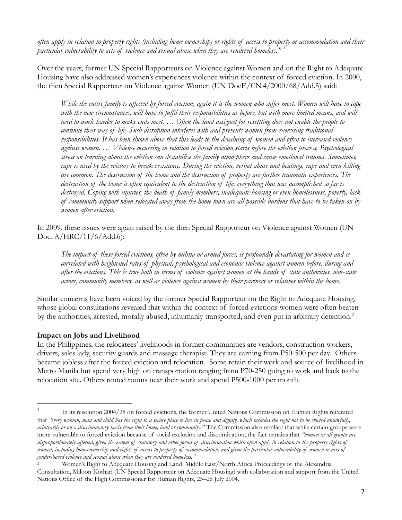*often apply in relation to property rights (including home ownership) or rights of access to property or accommodation and their particular vulnerability to acts of violence and sexual abuse when they are rendered homeless."* <sup>1</sup>

Over the years, former UN Special Rapporteurs on Violence against Women and on the Right to Adequate Housing have also addressed women's experiences violence within the context of forced eviction. In 2000, the then Special Rapporteur on Violence against Women (UN DocE/CN.4/2000/68/Add.5) said:

*While the entire family is affected by forced eviction, again it is the women who suffer most. Women will have to cope*  with the new circumstances, will have to fulfil their responsibilities as before, but with more limited means, and will *need to work harder to make ends meet. … Often the land assigned for resettling does not enable the people to continue their way of life. Such disruption interferes with and prevents women from exercising traditional*  responsibilities. It has been shown above that this leads to the devaluing of women and often to increased violence *against women. … Violence occurring in relation to forced eviction starts before the eviction process. Psychological stress on learning about the eviction can destabilise the family atmosphere and cause emotional trauma. Sometimes, rape is used by the evictors to break resistance. During the eviction, verbal abuse and beatings, rape and even killing are common. The destruction of the home and the destruction of property are further traumatic experiences. The destruction of the home is often equivalent to the destruction of life; everything that was accomplished so far is destroyed. Coping with injuries, the death of family members, inadequate housing or even homelessness, poverty, lack of community support when relocated away from the home town are all possible burdens that have to be taken on by women after eviction.*

In 2009, these issues were again raised by the then Special Rapporteur on Violence against Women (UN Doc. A/HRC/11/6/Add.6):

*The impact of these forced evictions, often by militia or armed forces, is profoundly devastating for women and is correlated with heightened rates of physical, psychological and economic violence against women before, during and after the evictions. This is true both in terms of violence against women at the hands of state authorities, non-state actors, community members, as well as violence against women by their partners or relatives within the home.*

Similar concerns have been voiced by the former Special Rapporteur on the Right to Adequate Housing, whose global consultations revealed that within the context of forced evictions women were often beaten by the authorities, arrested, morally abused, inhumanly transported, and even put in arbitrary detention.<sup>2</sup>

# **Impact on Jobs and Livelihood**

l,

In the Philippines, the relocatees' livelihoods in former communities are vendors, construction workers, drivers, sales lady, security guards and massage therapist. They are earning from P50-500 per day. Others became jobless after the forced eviction and relocation. Some retain their work and source of livelihood in Metro Manila but spend very high on transportation ranging from P70-250 going to work and back to the relocation site. Others rented rooms near their work and spend P500-1000 per month.

<sup>1</sup> In its resolution 2004/28 on forced evictions, the former United Nations Commission on Human Rights reiterated that "every woman, man and child has the right to a secure place to live in peace and dignity, which includes the right not to be evicted unlawfully, *arbitrarily or on a discriminatory basis from their home, land or community."* The Commission also recalled that while certain groups were more vulnerable to forced eviction because of social exclusion and discrimination, the fact remains that *"women in all groups are disproportionately affected, given the extent of statutory and other forms of discrimination which often apply in relation to the property rights of women, including homeownership and rights of access to property of accommodation, and given the particular vulnerability of women to acts of gender-based violence and sexual abuse when they are rendered homeless."* 

<sup>2</sup> Women's Right to Adequate Housing and Land: Middle East/North Africa Proceedings of the Alexandria Consultation, Miloon Kothari (UN Special Rapporteur on Adequate Housing) with collaboration and support from the United Nations Office of the High Commissioner for Human Rights, 23–26 July 2004.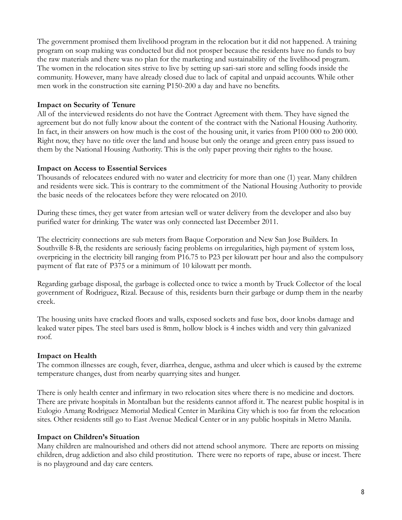The government promised them livelihood program in the relocation but it did not happened. A training program on soap making was conducted but did not prosper because the residents have no funds to buy the raw materials and there was no plan for the marketing and sustainability of the livelihood program. The women in the relocation sites strive to live by setting up sari-sari store and selling foods inside the community. However, many have already closed due to lack of capital and unpaid accounts. While other men work in the construction site earning P150-200 a day and have no benefits.

### **Impact on Security of Tenure**

All of the interviewed residents do not have the Contract Agreement with them. They have signed the agreement but do not fully know about the content of the contract with the National Housing Authority. In fact, in their answers on how much is the cost of the housing unit, it varies from P100 000 to 200 000. Right now, they have no title over the land and house but only the orange and green entry pass issued to them by the National Housing Authority. This is the only paper proving their rights to the house.

#### **Impact on Access to Essential Services**

Thousands of relocatees endured with no water and electricity for more than one (1) year. Many children and residents were sick. This is contrary to the commitment of the National Housing Authority to provide the basic needs of the relocatees before they were relocated on 2010.

During these times, they get water from artesian well or water delivery from the developer and also buy purified water for drinking. The water was only connected last December 2011.

The electricity connections are sub meters from Baque Corporation and New San Jose Builders. In Southville 8-B, the residents are seriously facing problems on irregularities, high payment of system loss, overpricing in the electricity bill ranging from P16.75 to P23 per kilowatt per hour and also the compulsory payment of flat rate of P375 or a minimum of 10 kilowatt per month.

Regarding garbage disposal, the garbage is collected once to twice a month by Truck Collector of the local government of Rodriguez, Rizal. Because of this, residents burn their garbage or dump them in the nearby creek.

The housing units have cracked floors and walls, exposed sockets and fuse box, door knobs damage and leaked water pipes. The steel bars used is 8mm, hollow block is 4 inches width and very thin galvanized roof.

# **Impact on Health**

The common illnesses are cough, fever, diarrhea, dengue, asthma and ulcer which is caused by the extreme temperature changes, dust from nearby quarrying sites and hunger.

There is only health center and infirmary in two relocation sites where there is no medicine and doctors. There are private hospitals in Montalban but the residents cannot afford it. The nearest public hospital is in Eulogio Amang Rodriguez Memorial Medical Center in Marikina City which is too far from the relocation sites. Other residents still go to East Avenue Medical Center or in any public hospitals in Metro Manila.

# **Impact on Children's Situation**

Many children are malnourished and others did not attend school anymore. There are reports on missing children, drug addiction and also child prostitution. There were no reports of rape, abuse or incest. There is no playground and day care centers.